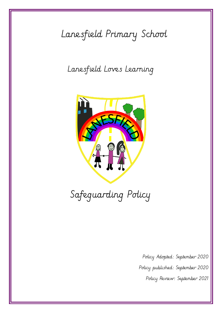# Lanesfield Primary School

# Lanesfield Loves Learning



# Safeguarding Policy

Policy Adopted: September 2020 Policy published: September 2020 Policy Review: September 2021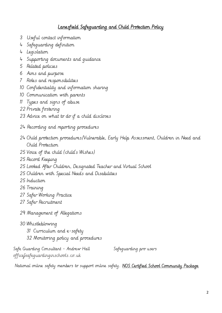#### Lanesfield Safeguarding and Child Protection Policy

- Useful contact information
- Safeguarding definition
- Legislation
- Supporting documents and guidance
- Related policies
- Aims and purpose
- Roles and responsibilities
- Confidentiality and information sharing
- Communication with parents
- Types and signs of abuse
- Private fostering
- Advice on what to do if a child discloses
- 24 Recording and reporting procedures
- Child protection procedures/Vulnerable, Early Help Assessment, Children in Need and Child Protection
- Voice of the child (child's Wishes)
- Record Keeping
- Looked After Children, Designated Teacher and Virtual School
- Children with Special Needs and Disabilities
- Induction
- Training
- Safer Working Practice
- Safer Recruitment
- 29 Management of Allegations
- Whistleblowing
	- Curriculum and e-safety
	- Monitoring policy and procedures

Safe Guarding Consultant - Andrew Hall Safeguarding pro users office@safeguardinginschools.co.uk

National online safety members to support online safety. NOS Certified School Community Package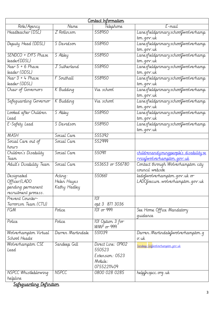| Contact Information                                                     |                                        |                                                                           |                                                                  |
|-------------------------------------------------------------------------|----------------------------------------|---------------------------------------------------------------------------|------------------------------------------------------------------|
| Role/Agency                                                             | <b>Name</b>                            | Telephone                                                                 | E-mail                                                           |
| Headteacher (DSL)                                                       | Z Rollinson                            | 558950                                                                    | Lanesfieldprimary schoolfwolverhamp<br>ton. qov. uk              |
| Deputy Head (DDSL)                                                      | S Davidson                             | 558950                                                                    | Lanesfieldprimary schoolfwolverhamp<br>ton. qov. uk              |
| SENDCO + EYFS Phase<br>leader(DDSL)                                     | S Abley                                | 558950                                                                    | Lanesfieldprimary schoolfwolverhamp<br>ton.gov.uk                |
| Year $5 + 6$ Phase<br>leader (DDSL)                                     | J Sutherland                           | 558950                                                                    | Lanesfieldprimaryschoolfwolverhamp<br>ton. qov. uk               |
| Year 3 + 4 Phase<br>leader (DDSL)                                       | F Southall                             | 558950                                                                    | Lanesfieldprimary schoolfwolverhamp<br>ton.gov.uk                |
| Chair of Governors                                                      | K Budding                              | Via school                                                                | Lanesfieldprimary schoolfwolverhamp<br>ton.gov.uk                |
| Safequarding Governor                                                   | K Budding                              | Via school                                                                | Lanesfieldprimary schoolfwolverhamp<br>ton.gov.uk                |
| Looked after Children<br>Lead                                           | S Abley                                | 558950                                                                    | Lanesfieldprimary schoolfwolverhamp<br>ton.gov.uk                |
| E-Safety Lead                                                           | S Davidson                             | 558950                                                                    | Lanesfieldprimary schoolfwolverhamp<br>ton.gov.uk                |
| <b>MASH</b>                                                             | Social Care                            | 555392                                                                    |                                                                  |
| Social Care out of                                                      | Social Care                            | 552999                                                                    |                                                                  |
| hours                                                                   |                                        |                                                                           |                                                                  |
| Children's Disability                                                   | Social Care                            | 550911                                                                    | <u>childrenandyoungpeople's.disability se</u>                    |
| Team                                                                    |                                        |                                                                           | rrice wolverhampton.gov.uk                                       |
| Adult's Disability Team                                                 | Social Care                            | 553653 or 556780                                                          | Contact through Wolverhampton city<br>council website            |
| Designated<br>Officer/LADO<br>pending permanent<br>recruitment process. | Acting:<br>Helen Hayes<br>Kathy Hadley | 550661                                                                    | ladofwolverhampton.gov.uk or<br>LADOßecure. wolverhampton.gov.uk |
| Prevent Counter-<br>Terrorism Team (CTU)                                |                                        | 101<br>opt 3 871 3036                                                     |                                                                  |
| <b>FGM</b>                                                              | Police                                 | $101 \text{ or } 999$                                                     | See Home Office Mandatory<br>quidance                            |
| Police                                                                  | Police                                 | 101 Option 3 for<br>$WMP$ or 999                                          |                                                                  |
| Wolverhampton Virtual<br>School Headx                                   | Darren Martindale                      | 551039                                                                    | Darren. Martindalefwolverhampton.g<br>o.uk                       |
| Wolverhampton CSE<br>Lead                                               | Sandeep Gill                           | Direct Line: 01902<br>550523<br>Extension: 0523<br>Mobile:<br>07552211409 | Sandeep. Gillfwolverhampton.gov.uk                               |
| NSPCC Whistleblowing<br>helpline                                        | <b>NSPCC</b>                           | 0800 028 0285                                                             | helpfnspcc.org.uk                                                |

Safeguarding Definition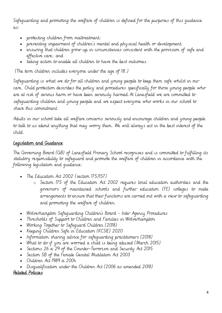Safeguarding and promoting the welfare of children is defined for the purposes of this guidance as:

- protecting children from maltreatment;
- preventing impairment of children's mental and physical health or development;
- ensuring that children grow up in circumstances consistent with the provision of safe and effective care; and
- taking action to enable all children to have the best outcomes.

(The term children includes everyone under the age of 18.)

Safeguarding is what we do for all children and young people to keep them safe whilst in our care. Child protection describes the policy and procedures specifically for those young people who are at risk of serious harm or have been seriously harmed.At Lanesfield we are committed to safeguarding children and young people and we expect everyone who works in our school to share this commitment.

Adults in our school take all welfare concerns seriously and encourage children and young people to talk to us about anything that may worry them. We will always act in the best interest of the child.

# Legislation and Guidance

The Governing Board (GB) of Lanesfield Primary School recognises and is committed to fulfilling its statutory responsibility to safeguard and promote the welfare of children in accordance with the following legislation and guidance:

- [The Education Act 2002](http://www.legislation.gov.uk/ukpga/2002/32/contents) (section 175/157)
	- o [Section 175 of the Education Act 2002](http://www.opsi.gov.uk/ACTS/acts2002/ukpga_20020032_en_15) requires local education authorities and the governors of maintained schools and further education (FE) colleges to make arrangements to ensure that their functions are carried out with a view to safeguarding and promoting the welfare of children.
- [Wolverhampton Safeguarding Children's Board -](http://sandwelllscb.proceduresonline.com/index.html) Inter Agency Procedures
- Thresholds of Support to Children and Families in Wolverhampton
- [Working Together to Safeguard Children](https://www.gov.uk/government/publications/working-together-to-safeguard-children--2) (2018)
- [Keeping Children Safe in Education](https://www.gov.uk/government/publications/keeping-children-safe-in-education--2) (KCSIE) 2020
- [Information sharing advice for safeguarding practitioners](https://www.gov.uk/government/publications/safeguarding-practitioners-information-sharing-advice) (2018)
- What to do if you are worried a child is being abused (March 2015)
- [Sections 26 & 29 of the Counter-Terrorism and Security Act 2015](http://www.legislation.gov.uk/ukpga/2015/6/section/26/enacted)
- [Section 5B of the Female Genital Mutilation Act 2003](http://www.legislation.gov.uk/ukpga/2015/9/part/5/crossheading/female-genital-mutilation/enacted)
- Children Act  $1989 \propto 2004$
- Disqualification under the Children Act (2006 as amended 2018)

# Related Policies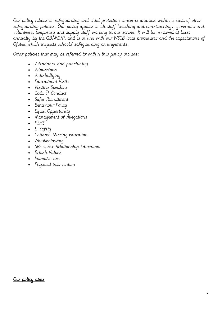Our policy relates to safeguarding and child protection concerns and sits within a suite of other safeguarding policies. Our policy applies to all staff (teaching and non-teaching), governors and volunteers, temporary and supply staff working in our school. It will be reviewed at least annually by the GB/MC/P, and is in line with our WSCB local procedures and the expectations of Ofsted which inspects schools' safeguarding arrangements.

Other policies that may be referred to within this policy include:

- Attendance and punctuality
- Admissions
- Anti-bullying
- Educational Visits
- Visiting Speakers
- Code of Conduct
- Safer Recruitment
- Behaviour Policy
- Equal Opportunity
- Management of Allegations
- PSHE
- E-Safety
- Children Missing education
- Whistleblowing
- SRE & Sex Relationship Education
- British Values
- Intimate care
- Physical intervention

#### Our policy aims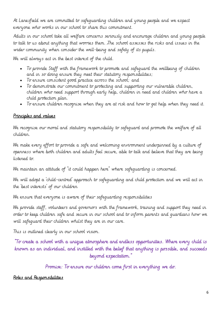At Lanesfield we are committed to safeguarding children and young people and we expect everyone who works in our school to share this commitment.

Adults in our school take all welfare concerns seriously and encourage children and young people to talk to us about anything that worries them. The school assesses the risks and issues in the wider community when consider the well-being and safety of its pupils.

We will always act in the best interest of the child.

- To provide Staff with the framework to promote and safeguard the wellbeing of children and in so doing ensure they meet their statutory responsibilities;
- To ensure consistent good practice across the school; and
- To demonstrate our commitment to protecting and supporting our vulnerable children, children who need support through early help, children in need and children who have a child protection plan.
- To ensure children recognise when they are at risk and how to get help when they need it.

#### Principles and values

We recognise our moral and statutory responsibility to safeguard and promote the welfare of all children.

We make every effort to provide a safe and welcoming environment underpinned by a culture of openness where both children and adults feel secure, able to talk and believe that they are being listened to.

We maintain an attitude of "it could happen here" where safeguarding is concerned.

We will adopt a 'child-centred' approach to safequarding and child protection and we will act in the 'best interests' of our children

We ensure that everyone is aware of their safeguarding responsibilities

We provide staff, volunteers and governors with the framework, training and support they need in order to keep children safe and secure in our school and to inform parents and guardians how we will safeguard their children whilst they are in our care.

This is outlined clearly in our school vision.

"To create a school with a unique atmosphere and endless opportunities. Where every child is known as an individual, and instilled with the belief that anything is possible, and succeeds beyond expectation."

Promise: To ensure our children come first in everything we do.

#### Roles and Responsibilities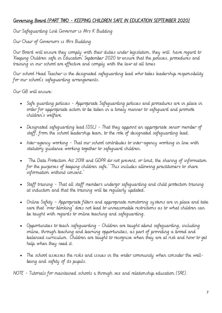#### Governing Board (PART TWO - KEEPING CHILDREN SAFE IN EDUCATION SEPTEMBER 2020)

Our Safeguarding Link Governor is Mrs K Budding

Our Chair of Governors is Mrs Budding

Our Board will ensure they comply with their duties under legislation, they will have regard to 'Keeping Children safe in Education' September 2020 to ensure that the policies, procedures and training in our school are effective and comply with the law at all times

Our school Head Teacher is the designated safeguarding lead who takes leadership responsibility for our school's safeguarding arrangements.

Our GB will ensure:

- Safe guarding policies Appropriate Safeguarding policies and procedures are in place in order for appropriate action to be taken in a timely manner to safeguard and promote children's welfare.
- Designated safeguarding lead (DSL) That they appoint an appropriate senior member of staff, from the school leadership team, to the role of designated safeguarding lead.
- Inter-agency working That our school contributes to inter-agency working in line with statutory guidance working together to safeguard children.
- 'The Data Protection Act 2018 and GDPR do not prevent, or limit, the sharing of information for the purposes of keeping children safe.' 'This includes allowing practitioners to share information without consent.'
- Staff training That all staff members undergo safeguarding and child protection training at induction and that the training will be regularly updated.
- Online Safety Appropriate filters and appropriate monitoring systems are in place and take care that "over blocking" does not lead to unreasonable restrictions as to what children can be taught with regards to online teaching and safeguarding.
- Opportunities to teach safeguarding Children are taught about safeguarding, including online, through teaching and learning opportunities, as part of providing a broad and balanced curriculum. Children are taught to recognise when they are at risk and how to get help when they need it.
- The school assesses the risks and issues in the wider community when consider the wellbeing and safety of its pupils.

NOTE - Tutorials for maintained schools – through sex and relationship education (SRE).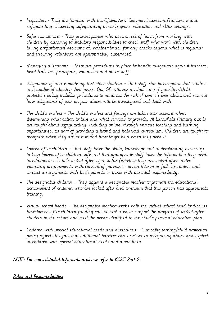- Inspection They are familiar with the Ofsted New Common Inspection Framework and safeguarding: Inspecting safeguarding in early years, education and skills settings.
- Safer recruitment They prevent people who pose a risk of harm from working with children by adhering to statutory responsibilities to check staff who work with children, taking proportionate decisions on whether to ask for any checks beyond what is required; and ensuring volunteers are appropriately supervised.
- Managing allegations There are procedures in place to handle allegations against teachers, head teachers, principals, volunteers and other staff.
- Allegations of abuse made against other children That staff should recognise that children are capable of abusing their peers. Our GB will ensure that our safeguarding/child protection policy includes procedures to minimise the risk of peer on peer abuse and sets out how allegations of peer on peer abuse will be investigated and dealt with.
- The child's wishes The child's wishes and feelings are taken into account when determining what action to take and what services to provide. At Lanesfield Primary pupils are taught about safeguarding, including online, through various teaching and learning opportunities, as part of providing a broad and balanced curriculum. Children are taught to recognise when they are at risk and how to get help when they need it.
- Looked after children That staff have the skills, knowledge and understanding necessary to keep looked after children safe and that appropriate staff have the information they need in relation to a child's looked after legal status (whether they are looked after under voluntary arrangements with consent of parents or on an interim or full care order) and contact arrangements with birth parents or those with parental responsibility.
- The designated children They appoint a designated teacher to promote the educational achievement of children who are looked after and to ensure that this person has appropriate training.
- Virtual school heads The designated teacher works with the virtual school head to discuss how looked after children funding can be best used to support the progress of looked after children in the school and meet the needs identified in the child's personal education plan.
- Children with special educational needs and disabilities Our safeguarding/child protection policy reflects the fact that additional barriers can exist when recognising abuse and neglect in children with special educational needs and disabilities.

#### NOTE: For more detailed information please refer to KCSIE Part 2.

#### Roles and Responsibilities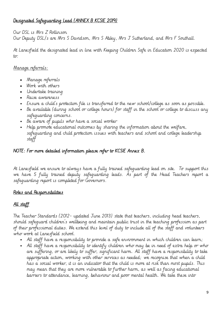# Designated Safeguarding Lead (ANNEX B KCSIE 2019)

Our DSL is Mrs Z Rollinson

Our Deputy DSL/s are Mrs S Davidson, Mrs S Abley, Mrs J Sutherland, and Mrs F Southall.

At Lanesfield the designated lead in line with Keeping Children Safe in Education 2020 is expected to:

#### Manage referrals:

- Manage referrals
- Work with others
- Undertake training
- Raise awareness
- Ensure a child's protection file is transferred to the new school/college as soon as possible.
- Be available (during school or college hours) for staff in the school or college to discuss any safeguarding concerns.
- Be aware of pupils who have a social worker
- Help promote educational outcomes by sharing the information about the welfare, safeguarding and child protection issues with teachers and school and college leadership staff

# NOTE: For more detailed information please refer to KCSIE Annex B.

At Lanesfield we ensure to always have a fully trained safeguarding lead on site. To support this we have 5 fully trained deputy safeguarding leads. As part of the Head Teachers report a safeguarding report is completed for Governors.

#### Roles and Responsibilities

#### All staff

The Teacher Standards (2012- updated June 2013) state that teachers, including head teachers, should safeguard children's wellbeing and maintain public trust in the teaching profession as part of their professional duties. We extend this level of duty to include all of the staff and volunteers who work at Lanesfield school.

- All staff have a responsibility to provide a safe environment in which children can learn;
- All staff have a responsibility to identify children who may be in need of extra help or who are suffering, or are likely to suffer, significant harm. All staff have a responsibility to take appropriate action, working with other services as needed; we recognise that when a child has a social worker, it is an indicator that the child is more at risk than most pupils. This may mean that they are more vulnerable to further harm, as well as facing educational barriers to attendance, learning, behaviour and poor mental health. We take these into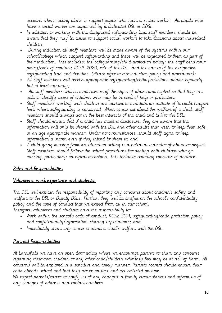account when making plans to support pupils who have a social worker. All pupils who have a social worker are supported by a dedicated DSL or DDSL.

- In addition to working with the designated safeguarding lead staff members should be aware that they may be asked to support social workers to take decisions about individual children;
- During induction all staff members will be made aware of the systems within our school/college which support safeguarding and these will be explained to them as part of their induction. This includes: the safeguarding/child protection policy; the staff behaviour policy/code of conduct; KCSIE 2020, role of the DSL and the names of the designated safeguarding lead and deputies. (Please refer to our Induction policy and procedures);
- All staff members will receive appropriate safeguarding/child protection updates regularly, but at least annually;
- All staff members will be made aware of the signs of abuse and neglect so that they are able to identify cases of children who may be in need of help or protection;
- Staff members working with children are advised to maintain an attitude of 'it could happen here' where safeguarding is concerned. When concerned about the welfare of a child, staff members should always act in the best interests of the child and talk to the DSL;
- Staff should ensure that if a child has made a disclosure, they are aware that the information will only be shared with the DSL and other adults that wish to keep them safe, in an age appropriate manner. Under no circumstances, should staff agree to keep information a secret, even if they intend to share it; and
- A child going missing from an education setting is a potential indicator of abuse or neglect. Staff members should follow the school procedures for dealing with children who go missing, particularly on repeat occasions. This includes reporting concerns of absence.

#### Roles and Responsibilities

#### Volunteers, work experience and students:

The DSL will explain the responsibility of reporting any concerns about children's safety and welfare to the DSL or Deputy DSLs. Further, they will be briefed on the school's confidentiality policy and the code of conduct that we expect from all in our school. Therefore volunteers and students have the responsibility to:

- Work within the school's code of conduct, KCSIE 2019, safeguarding/child protection policy and confidentiality/information sharing expectations; and
- Immediately share any concerns about a child's welfare with the DSL.

#### Parental Responsibilities

At Lanesfield we have an open door policy where we encourage parents to share any concerns regarding their own children or any other child/children who they feel may be at risk of harm. All concerns will be explored in a sensitive and timely manner. Parents /carers should ensure their child attends school and that they arrive on time and are collected on time.

We expect parents/carers to notify us of any changes in family circumstances and inform us of any changes of address and contact numbers.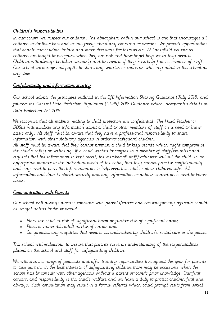#### Children's Responsibilities

In our school we respect our children. The atmosphere within our school is one that encourages all children to do their best and to talk freely about any concerns or worries. We provide opportunities that enable our children to take and make decisions for themselves. At Lanesfield we ensure children are taught to recognise when they are risk and how to get help when they need it. Children will always be taken seriously and listened to if they seek help from a member of staff. Our school encourages all pupils to share any worries or concerns with any adult in the school at any time.

#### Confidentiality and Information sharing

Our school adopts the principles outlined in the DfE Information Sharing Guidance (July 2018) and follows the General Data Protection Regulation (GDPR) 2018 Guidance which incorporates details in Data Protection Act 2018

We recognise that all matters relating to child protection are confidential. The Head Teacher or DDSLs will disclose any information about a child to other members of staff on a need to know basis only. All staff must be aware that they have a professional responsibility to share information with other statutory agencies in order to safeguard children.

All staff must be aware that they cannot promise a child to keep secrets which might compromise the child's safety or wellbeing. If a child wishes to confide in a member of staff/volunteer and requests that the information is kept secret, the member of staff/volunteer will tell the child, in an appropriate manner to the individual needs of the child, that they cannot promise confidentiality and may need to pass the information on to help keep the child or other children safe. All information and data is stored securely and any information or data is shared on a need to know basis.

#### Communication with Parents

Our school will always discuss concerns with parents/carers and consent for any referrals should be sought unless to do so would:

- Place the child at risk of significant harm or further risk of significant harm;
- Place a vulnerable adult at risk of harm; and
- Compromise any enquiries that need to be undertaken by children's social care or the police.

The school will endeavour to ensure that parents have an understanding of the responsibilities placed on the school and staff for safeguarding children.

We will share a range of podcasts and offer training opportunities throughout the year for parents to take part in. In the best interests of safeguarding children there may be occasions when the school has to consult with other agencies without a parent or carer's prior knowledge. Our first concern and responsibility is the child's welfare and we have a duty to protect children first and always. Such consultation may result in a formal referral which could prompt visits from social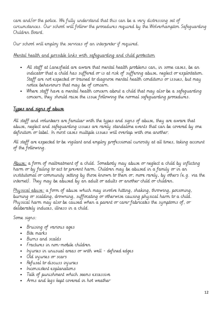care and/or the police. We fully understand that this can be a very distressing set of circumstances. Our school will follow the procedures required by the Wolverhampton Safeguarding Children Board.

Our school will employ the services of an interpreter if required.

#### Mental health and possible links with safeguarding and child protection

- All staff at Lanesfield are aware that mental health problems can, in some cases, be an indicator that a child has suffered or is at risk of suffering abuse, neglect or exploitation. Staff are not expected or trained to diagnose mental health conditions or issues, but may notice behaviours that may be of concern.
- Where staff have a mental health concern about a child that may also be a safeguarding concern, they should raise the issue following the normal safeguarding procedures.

# Types and signs of abuse

All staff and volunteers are familiar with the types and signs of abuse, they are aware that abuse, neglect and safeguarding issues are rarely standalone events that can be covered by one definition or label. In most cases multiple issues will overlap with one another.

All staff are expected to be vigilant and employ professional curiosity at all times, taking account of the following.

Abuse: a form of maltreatment of a child. Somebody may abuse or neglect a child by inflicting harm or by failing to act to prevent harm. Children may be abused in a family or in an institutional or community setting by those known to them or, more rarely, by others (e.g. via the internet). They may be abused by an adult or adults or another child or children.

Physical abuse: a form of abuse which may involve hitting, shaking, throwing, poisoning, burning or scalding, drowning, suffocating or otherwise causing physical harm to a child. Physical harm may also be caused when a parent or carer fabricates the symptoms of, or deliberately induces, illness in a child.

Some signs:

- Bruising of various ages
- Bite marks
- Burns and scalds
- Fractures in non-mobile children
- Injuries in unusual areas or with well defined edges
- Old injuries or scars
- Refusal to discuss injuries
- Inconsistent explanations
- Talk of punishment which seems excessive
- Arms and legs kept covered in hot weather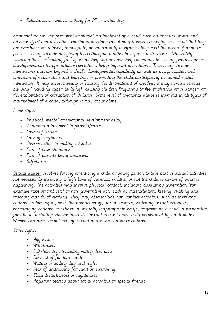• Reluctance to remove clothing for PE or swimming

Emotional abuse: the persistent emotional maltreatment of a child such as to cause severe and adverse effects on the child's emotional development. It may involve conveying to a child that they are worthless or unloved, inadequate, or valued only insofar as they meet the needs of another person. It may include not giving the child opportunities to express their views, deliberately silencing them or 'making fun' of what they say or how they communicate. It may feature age or developmentally inappropriate expectations being imposed on children. These may include interactions that are beyond a child's developmental capability as well as overprotection and limitation of exploration and learning, or preventing the child participating in normal social interaction. It may involve seeing or hearing the ill-treatment of another. It may involve serious bullying (including cyber-bullying), causing children frequently to feel frightened or in danger, or the exploitation or corruption of children. Some level of emotional abuse is involved in all types of maltreatment of a child, although it may occur alone.

Some signs:

- Physical, mental or emotional development delay
- Abnormal attachment to parents/carer
- Low self-esteem
- Lack of confidence
- Over-reaction to making mistakes
- Fear of new situations
- Fear of parents being contacted
- Self-harm

Sexual abuse: involves forcing or enticing a child or young person to take part in sexual activities, not necessarily involving a high level of violence, whether or not the child is aware of what is happening. The activities may involve physical contact, including assault by penetration (for example rape or oral sex) or non-penetrative acts such as masturbation, kissing, rubbing and touching outside of clothing. They may also include non-contact activities, such as involving children in looking at, or in the production of, sexual images, watching sexual activities, encouraging children to behave in sexually inappropriate ways, or grooming a child in preparation for abuse (including via the internet). Sexual abuse is not solely perpetrated by adult males. Women can also commit acts of sexual abuse, as can other children.

Some signs:

- Aggression
- Withdrawn
- Self-harming, including eating disorders
- Distrust of familiar adult
- Wetting or soiling day and night
- Fear of undressing for sport or swimming
- Sleep disturbances or nightmares
- Apparent secrecy about social activities or special friends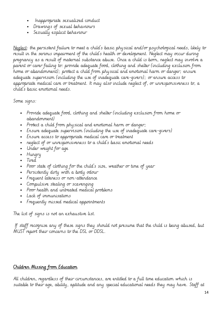- Inappropriate sexualized conduct
- Drawings of sexual behaviours
- Sexually explicit behaviour

Neglect: the persistent failure to meet a child's basic physical and/or psychological needs, likely to result in the serious impairment of the child's health or development. Neglect may occur during pregnancy as a result of maternal substance abuse. Once a child is born, neglect may involve a parent or carer failing to: provide adequate food, clothing and shelter (including exclusion from home or abandonment); protect a child from physical and emotional harm or danger; ensure adequate supervision (including the use of inadequate care-givers); or ensure access to appropriate medical care or treatment. It may also include neglect of, or unresponsiveness to, a child's basic emotional needs.

Some signs:

- Provide adequate food, clothing and shelter (including exclusion from home or abandonment)
- Protect a child from physical and emotional harm or danger;
- Ensure adequate supervision (including the use of inadequate care-givers)
- Ensure access to appropriate medical care or treatment
- neglect of or unresponsiveness to a child's basic emotional needs
- Under weight for age
- Hungry
- Tired
- Poor state of clothing for the child's size, weather or time of year
- Persistently dirty with a body odour
- Frequent lateness or non-attendance
- Compulsive stealing or scavenging
- Poor health and untreated medical problems
- Lack of immunisations
- Frequently missed medical appointments

The list of signs is not an exhaustive list.

If staff recognise any of these signs they should not presume that the child is being abused, but MUST report their concerns to the DSL or DDSL.

#### Children Missing from Education

All children, regardless of their circumstances, are entitled to a full time education which is suitable to their age, ability, aptitude and any special educational needs they may have. Staff at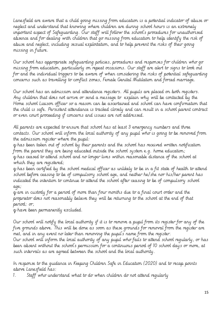Lanesfield are aware that a child going missing from education is a potential indicator of abuse or neglect and understand that knowing where children are during school hours is an extremely important aspect of Safeguarding. Our staff will follow the school's procedures for unauthorised absence and for dealing with children that go missing from education to help identify the risk of abuse and neglect, including sexual exploitation, and to help prevent the risks of their going missing in future.

Our school has appropriate safeguarding policies, procedures and responses for children who go missing from education, particularly on repeat occasions. Our staff are alert to signs to look out for and the individual triggers to be aware of when considering the risks of potential safeguarding concerns such as travelling to conflict zones, Female Genital Mutilation and forced marriage.

Our school has an admission and attendance registers. All pupils are placed on both registers. Any children that does not arrive or send a message to explain why will be contacted by the Home school Liaison officer so a reason can be ascertained and school can have confirmation that the child is safe. Persistent attendance is tracked closely and can result in a school parent contract or even court proceeding if concerns and issues are not addressed.

All parents are expected to ensure that school has at least 3 emergency numbers and three contacts. Our school will inform the local authority of any pupil who is going to be removed from the admission register where the pupil:

• has been taken out of school by their parents and the school has received written notification from the parent they are being educated outside the school system e.g. home education; • has ceased to attend school and no longer lives within reasonable distance of the school at

which they are registered;

• has been certified by the school medical officer as unlikely to be in a fit state of health to attend school before ceasing to be of compulsory school age, and neither he/she nor his/her parent has indicated the intention to continue to attend the school after ceasing to be of compulsory school age;

• are in custody for a period of more than four months due to a final court order and the proprietor does not reasonably believe they will be returning to the school at the end of that period; or,

• have been permanently excluded.

Our school will notify the local authority if it is to remove a pupil from its register for any of the five grounds above. This will be done as soon as these grounds for removal from the register are met, and in any event no later than removing the pupil's name from the register.

Our school will inform the local authority of any pupil who fails to attend school regularly, or has been absent without the school's permission for a continuous period of 10 school days or more, at such intervals as are agreed between the school and the local authority.

In response to the guidance in Keeping Children Safe in Education (2020) and to recap points above Lanesfield has:

1. Staff who understand what to do when children do not attend regularly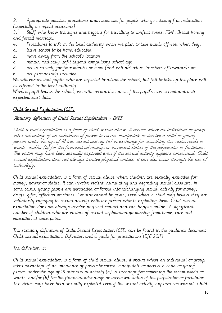2. Appropriate policies, procedures and responses for pupils who go missing from education (especially on repeat occasions).

3. Staff who know the signs and triggers for travelling to conflict zones, FGM, Breast Ironing and forced marriage.

- 4. Procedures to inform the local authority when we plan to take pupils off-roll when they:
- a. leave school to be home educated
- b. move away from the school's location
- c. remain medically unfit beyond compulsory school age
- d. are in custody for four months or more (and will not return to school afterwards); or
- e. are permanently excluded

We will ensure that pupils who are expected to attend the school, but fail to take up the place will be referred to the local authority.

When a pupil leaves the school, we will record the name of the pupil's new school and their expected start date.

# Child Sexual Exploitation (CSE)

# Statutory definition of Child Sexual Exploitation - DFES

Child sexual exploitation is a form of child sexual abuse. It occurs where an individual or group takes advantage of an imbalance of power to coerce, manipulate or deceive a child or young person under the age of 18 into sexual activity (a) in exchange for something the victim needs or wants, and/or (b) for the financial advantage or increased status of the perpetrator or facilitator. The victim may have been sexually exploited even if the sexual activity appears consensual. Child sexual exploitation does not always involve physical contact; it can also occur through the use of technology.

Child sexual exploitation is a form of sexual abuse where children are sexually exploited for money, power or status. It can involve violent, humiliating and degrading sexual assaults. In some cases, young people are persuaded or forced into exchanging sexual activity for money, drugs, gifts, affection or status. Consent cannot be given, even where a child may believe they are voluntarily engaging in sexual activity with the person who is exploiting them. Child sexual exploitation does not always involve physical contact and can happen online. A significant number of children who are victims of sexual exploitation go missing from home, care and education at some point.

The statutory definition of Child Sexual Exploitation (CSE) can be found in the guidance document Child sexual exploitation: Definition and a guide for practitioners (DfE 2017)

The definition is:

Child sexual exploitation is a form of child sexual abuse. It occurs where an individual or group takes advantage of an imbalance of power to coerce, manipulate or deceive a child or young person under the age of 18 into sexual activity (a) in exchange for something the victim needs or wants, and/or (b) for the financial advantage or increased status of the perpetrator or facilitator. The victim may have been sexually exploited even if the sexual activity appears consensual. Child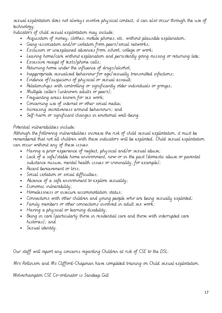sexual exploitation does not always involve physical contact; it can also occur through the use of technology.

Indicators of child sexual exploitation may include:

- Acquisition of money, clothes, mobile phones, etc. without plausible explanation;
- Gang-association and/or isolation from peers/social networks;
- Exclusion or unexplained absences from school, college or work;
- Leaving home/care without explanation and persistently going missing or returning late;
- Excessive receipt of texts/phone calls;
- Returning home under the influence of drugs/alcohol;
- Inappropriate sexualised behaviour for age/sexually transmitted infections;
- Evidence of/suspicions of physical or sexual assault;
- Relationships with controlling or significantly older individuals or groups;
- Multiple callers (unknown adults or peers);
- Frequenting areas known for sex work;
- Concerning use of internet or other social media;
- Increasing secretiveness around behaviours; and
- Self-harm or significant changes in emotional well-being.

# Potential vulnerabilities include:

Although the following vulnerabilities increase the risk of child sexual exploitation, it must be remembered that not all children with these indicators will be exploited. Child sexual exploitation can occur without any of these issues.

- Having a prior experience of neglect, physical and/or sexual abuse;
- Lack of a safe/stable home environment, now or in the past (domestic abuse or parental substance misuse, mental health issues or criminality, for example);
- Recent bereavement or loss;
- Social isolation or social difficulties;
- Absence of a safe environment to explore sexuality;
- Economic vulnerability;
- Homelessness or insecure accommodation status;
- Connections with other children and young people who are being sexually exploited;
- Family members or other connections involved in adult sex work;
- Having a physical or learning disability;
- Being in care (particularly those in residential care and those with interrupted care histories); and
- Sexual identity.

Our staff will report any concerns regarding Children at risk of CSE to the DSL.

Mrs Rollinson and Ms Clifford-Chapman have completed training on Child sexual exploitation.

Wolverhampton CSE Co-ordinator is Sandeep Gill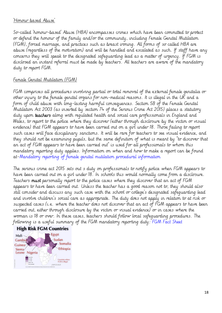#### 'Honour based Abuse'

So-called 'honour-based' Abuse (HBA) encompasses crimes which have been committed to protect or defend the honour of the family and/or the community, including Female Genital Mutilation (FGM), forced marriage, and practices such as breast ironing. All forms of so called HBA are abuse (regardless of the motivation) and will be handled and escalated as such. If staff have any concerns they will speak to the designated safeguarding lead as a matter of urgency. If FGM is disclosed an instant referral must be made by teachers. All teachers are aware of the mandatory duty to report FGM.

#### Female Genital Mutilation (FGM)

FGM comprises all procedures involving partial or total removal of the external female genitalia or other injury to the female genital organs for non-medical reasons. It is illegal in the UK and a form of child abuse with long-lasting harmful consequences. Section 5B of the Female Genital Mutilation Act 2003 (as inserted by section 74 of the Serious Crime Act 2015) places a statutory duty upon teachers along with regulated health and social care professionals in England and Wales, to report to the police where they discover (either through disclosure by the victim or visual evidence) that FGM appears to have been carried out on a girl under 18. Those failing to report such cases will face disciplinary sanctions. It will be rare for teachers to see visual evidence, and they should not be examining pupils, but the same definition of what is meant by "to discover that an act of FGM appears to have been carried out" is used for all professionals to whom this mandatory reporting duty applies. Information on when and how to make a report can be found at-Mandatory reporting of female genital mutilation procedural information

The serious crime act 2015 sets out s duty on professionals to notify police when FGM appears to have been carried out on a girl under 18. In schools this would normally come from a disclosure. Teachers must personally report to the police cases where they discover that an act of FGM appears to have been carried out. Unless the teacher has a good reason not to, they should also still consider and discuss any such case with the school or college's designated safeguarding lead and involve children's social care as appropriate. The duty does not apply in relation to at risk or suspected cases (i.e. where the teacher does not discover that an act of FGM appears to have been carried out, either through disclosure by the victim or visual evidence) or in cases where the woman is 18 or over. In these cases, teachers should follow local safeguarding procedures. The following is a useful summary of the FGM mandatory reporting duty: FGM Fact Sheet

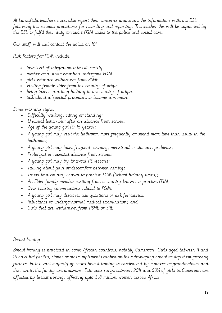At Lanesfield teachers must also report their concerns and share the information with the DSL following the school's procedures for recording and reporting. The teacher the will be supported by the DSL to fulfil their duty to report FGM cases to the police and social care.

Our staff will call contact the police on 101

Risk factors for FGM include:

- low level of integration into UK society
- mother or a sister who has undergone FGM
- girls who are withdrawn from PSHE
- visiting female elder from the country of origin
- being taken on a long holiday to the country of origin
- talk about a 'special' procedure to become a woman

Some warning signs:

- Difficulty walking, sitting or standing;
- Unusual behaviour after an absence from school;
- Age of the young girl (0-15 years);
- A young girl may visit the bathroom more frequently or spend more time than usual in the bathroom;
- A young girl may have frequent, urinary, menstrual or stomach problems;
- Prolonged or repeated absence from school;
- A young girl may try to avoid PE lessons;
- Talking about pain or discomfort between her legs
- Travel to a country known to practise FGM (School holiday times);
- An Elder family member visiting from a country known to practise FGM;
- Over hearing conversations related to FGM;
- A young girl may disclose, ask questions or ask for advice;
- Reluctance to undergo normal medical examination; and
- Girls that are withdrawn from PSHE or SRE.

#### Breast Ironing

Breast Ironing is practiced in some African countries, notably Cameroon. Girls aged between 9 and 15 have hot pestles, stones or other implements rubbed on their developing breast to stop them growing further. In the vast majority of cases breast ironing is carried out by mothers or grandmothers and the men in the family are unaware. Estimates range between 25% and 50% of girls in Cameroon are affected by breast ironing, affecting upto 3.8 million women across Africa.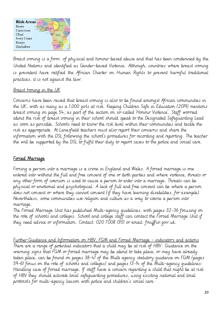

Breast ironing is a form of physical and honour based abuse and that has been condemned by the United Nations and identified as Gender-based Violence. Although, countries where breast ironing is prevalent have ratified the African Charter on Human Rights to prevent harmful traditional practices, it is not against the law.

#### Breast Ironing in the UK

Concerns have been raised that breast ironing is also to be found amongst African communities in the UK, with as many as a 1,000 girls at risk. Keeping Children Safe in Education (2019) mentions breast ironing on page 54, as part of the section on so-called 'Honour Violence'. Staff worried about the risk of breast ironing in their school should speak to the Designated Safeguarding Lead as soon as possible. Schools need to know the risk level within their communities and tackle the risk as appropriate. At Lanesfield teachers must also report their concerns and share the information with the DSL following the school's procedures for recording and reporting. The teacher the will be supported by the DSL to fulfil their duty to report cases to the police and social care.

# Forced Marriage

Forcing a person into a marriage is a crime in England and Wales. A forced marriage is one entered into without the full and free consent of one or both parties and where violence, threats or any other form of coercion is used to cause a person to enter into a marriage. Threats can be physical or emotional and psychological. A lack of full and free consent can be where a person does not consent or where they cannot consent (if they have learning disabilities, for example). Nevertheless, some communities use religion and culture as a way to coerce a person into marriage.

The Forced Marriage Unit has published Multi-agency guidelines, with pages 32-36 focusing on the role of schools and colleges. School and college staff can contact the Forced Marriage Unit if they need advice or information. Contact: 020 7008 0151 or email: fmuffco.gov.uk.

Further Guidance and Information on HBV, FGM and Forced Marriage - indicators and actions There are a range of potential indicators that a child may be at risk of HBV. Guidance on the warning signs that FGM or forced marriage may be about to take place, or may have already taken place, can be found on pages 38-41 of the Multi agency statutory guidance on FGM (pages 59-61 focus on the role of schools and colleges) and pages 13-14 of the Multi-agency guidelines: Handling case of forced marriage. If staff have a concern regarding a child that might be at risk of HBV they should activate local safeguarding procedures, using existing national and local protocols for multi-agency liaison with police and children's social care.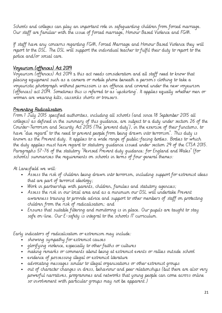Schools and colleges can play an important role in safeguarding children from forced marriage. Our staff are familiar with the issue of forced marriage, Honour Based Violence and FGM.

If staff have any concerns regarding FGM, Forced Marriage and Honour Based Violence they will report to the DSL. The DSL will support the individual teacher to fulfil their duty to report to the police and/or social care.

#### Voyeurism (offences) Act 2019

Voyeurism (offences) Act 2019 s this act needs consideration and all staff need to know that placing equipment such as a camera or mobile phone beneath a person's clothing to take a voyeuristic photograph without permission is an offence and covered under the new voyeurism (offences) act 2019. Sometimes this is referred to as 'upskirting'. It applies equally whether men or women are wearing kilts, cassocks shorts or trousers.

# Preventing Radicalisation

From 1 July 2015 specified authorities, including all schools (and since 18 September 2015 all colleges) as defined in the summary of this guidance, are subject to a duty under section 26 of the Counter-Terrorism and Security Act 2015 (The 'prevent duty'), in the exercise of their functions, to have "due regard" to the need to prevent people from being drawn into terrorism". This duty is known as the Prevent duty. It applies to a wide range of public-facing bodies. Bodies to which the duty applies must have regard to statutory guidance issued under section 29 of the CTSA 2015. Paragraphs 57-76 of the statutory "Revised Prevent duty guidance: for England and Wales" (for schools) summarises the requirements on schools in terms of four general themes:

At Lanesfield we will:

- Assess the risk of children being drawn into terrorism, including support for extremist ideas that are part of terrorist ideology;
- Work in partnership with parents, children, families and statutory agencies;
- Assess the risk in our local area and as a minimum our DSL will undertake Prevent awareness training to provide advice and support to other members of staff on protecting children from the risk of radicalisation; and
- Ensures that suitable filtering and monitoring is in place. Our pupils are taught to stay safe on-line. Our E-safety is integral to the schools IT curriculum.

Early indicators of radicalisation or extremism may include:

- showing sympathy for extremist causes
- glorifying violence, especially to other faiths or cultures
- making remarks or comments about being at extremist events or rallies outside school
- evidence of possessing illegal or extremist literature
- advocating messages similar to illegal organisations or other extremist groups
- out of character changes in dress, behaviour and peer relationships (but there are also very powerful narratives, programmes and networks that young people can come across online so involvement with particular groups may not be apparent.)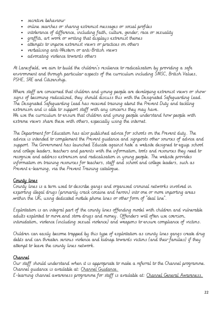- secretive behaviour
- online searches or sharing extremist messages or social profiles
- intolerance of difference, including faith, culture, gender, race or sexuality
- graffiti, art work or writing that displays extremist themes
- attempts to impose extremist views or practices on others
- verbalising anti-Western or anti-British views
- advocating violence towards others

At Lanesfield, we aim to build the children's resilience to radicalisation by providing a safe environment and through particular aspects of the curriculum including SMSC, British Values, PSHE, SRE and Citizenship.

Where staff are concerned that children and young people are developing extremist views or show signs of becoming radicalized, they should discuss this with the Designated Safeguarding Lead. The Designated Safeguarding Lead has received training about the Prevent Duty and tackling extremism and is able to support staff with any concerns they may have. We use the curriculum to ensure that children and young people understand how people with extreme views share these with others, especially using the internet.

The Department for Education has also published advice for schools on the Prevent duty. The advice is intended to complement the Prevent guidance and signposts other sources of advice and support. The Government has launched 'Educate against hate' a website designed to equip school and college leaders, teachers and parents with the information, tools and resources they need to recognise and address extremism and radicalisation in young people. The website provides information on training resources for teachers, staff and school and college leaders, such as Prevent e-learning, via the Prevent Training catalogue.

#### County lines

County lines is a term used to describe gangs and organised criminal networks involved in exporting illegal drugs (primarily crack cocaine and heroin) into one or more importing areas within the UK, using dedicated mobile phone lines or other form of "deal line".

Exploitation is an integral part of the county lines offending model with children and vulnerable adults exploited to move and store drugs and money. Offenders will often use coercion, intimidation, violence (including sexual violence) and weapons to ensure compliance of victims.

Children can easily become trapped by this type of exploitation as county lines gangs create drug debts and can threaten serious violence and kidnap towards victims (and their families) if they attempt to leave the county lines network.

#### Channel

Our staff should understand when it is appropriate to make a referral to the Channel programme. Channel guidance is available at: Channel Guidance. E-learning channel awareness programme for staff is available at: Channel General Awareness.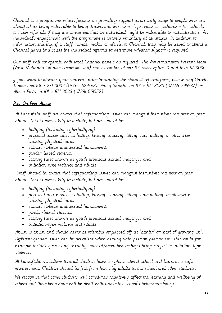Channel is a programme which focuses on providing support at an early stage to people who are identified as being vulnerable to being drawn into terrorism. It provides a mechanism for schools to make referrals if they are concerned that an individual might be vulnerable to radicalisation. An individual's engagement with the programme is entirely voluntary at all stages. In addition to information sharing, if a staff member makes a referral to Channel, they may be asked to attend a Channel panel to discuss the individual referred to determine whether support is required

Our staff will co-operate with local Channel panels as required. The Wolverhampton Prevent Team (West-Midlands Counter Terrorism Unit) can be contacted on: 101 select option 3 and then 8713036

If you want to discuss your concerns prior to sending the channel referral form, please ring Gareth Thomas on 101 x 871 3032 (07764 629768), Pamy Sandhu on 101 x 871 3033 (07765 295937) or Alison Potts on 101 x 871 3033 (07391 019552).

# Peer On Peer Abuse

At Lanesfield staff are aware that safeguarding issues can manifest themselves via peer on peer abuse. This is most likely to include, but not limited to:

- bullying (including cyberbullying);
- physical abuse such as hitting, kicking, shaking, biting, hair pulling, or otherwise causing physical harm;
- sexual violence and sexual harassment;
- gender-based violence
- sexting (also known as youth produced sexual imagery); and
- initiation-type violence and rituals.

Staff should be aware that safeguarding issues can manifest themselves via peer on peer abuse. This is most likely to include, but not limited to:

- bullying (including cyberbullying);
- physical abuse such as hitting, kicking, shaking, biting, hair pulling, or otherwise causing physical harm;
- sexual violence and sexual harassment;
- gender-based violence
- sexting (also known as youth produced sexual imagery); and
- initiation-type violence and rituals.

Abuse is abuse and should never be tolerated or passed off as "banter" or "part of growing up". Different gender issues can be prevalent when dealing with peer on peer abuse. This could for example include girls being sexually touched/assaulted or boys being subject to initiation-type violence.

At Lanesfield we believe that all children have a right to attend school and learn in a safe environment. Children should be free from harm by adults in the school and other students.

We recognise that some students will sometimes negatively affect the learning and wellbeing of others and their behaviour will be dealt with under the school's Behaviour Policy.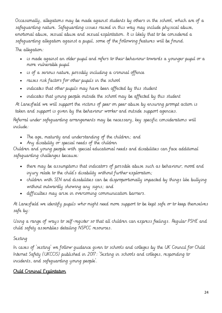Occasionally, allegations may be made against students by others in the school, which are of a safeguarding nature. Safeguarding issues raised in this way may include physical abuse, emotional abuse, sexual abuse and sexual exploitation. It is likely that to be considered a safeguarding allegation against a pupil, some of the following features will be found. The allegation:

- is made against an older pupil and refers to their behaviour towards a younger pupil or a more vulnerable pupil
- is of a serious nature, possibly including a criminal offence
- raises risk factors for other pupils in the school
- indicates that other pupils may have been affected by this student
- indicates that young people outside the school may be affected by this student

At Lanesfield we will support the victims of peer on peer abuse by ensuring prompt action is taken and support is given by the behaviour worker and outside support agencies.

Referral under safeguarding arrangements may be necessary, key specific considerations will include:

- The age, maturity and understanding of the children; and
- Any disability or special needs of the children

Children and young people with special educational needs and disabilities can face additional safeguarding challenges because:

- there may be assumptions that indicators of possible abuse such as behaviour, mood and injury relate to the child's disability without further exploration;
- children with SEN and disabilities can be disproportionally impacted by things like bullying without outwardly showing any signs; and
- difficulties may arise in overcoming communication barriers.

At Lanesfield we identify pupils who might need more support to be kept safe or to keep themselves safe by:

Using a range of ways to self-register so that all children can express feelings. Regular PSHE and child safety assemblies detailing NSPCC resources.

# Sexting

In cases of 'sexting' we follow guidance given to schools and colleges by the UK Council for Child Internet Safety (UKCCIS) published in 2017: 'Sexting in schools and colleges, responding to incidents, and safeguarding young people'.

# Child Criminal Exploitation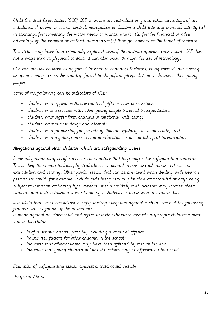Child Criminal Exploitation (CCE) CCE is where an individual or group takes advantage of an imbalance of power to coerce, control, manipulate or deceive a child into any criminal activity (a) in exchange for something the victim needs or wants, and/or (b) for the financial or other advantage of the perpetrator or facilitator and/or (c) through violence or the threat of violence.

The victim may have been criminally exploited even if the activity appears consensual. CCE does not always involve physical contact; it can also occur through the use of technology.

CCE can include children being forced to work in cannabis factories, being coerced into moving drugs or money across the country, forced to shoplift or pickpocket, or to threaten other young people.

Some of the following can be indicators of CCE:

- children who appear with unexplained gifts or new possessions;
- children who associate with other young people involved in exploitation;
- children who suffer from changes in emotional well-being;
- children who misuse drugs and alcohol;
- children who go missing for periods of time or regularly come home late; and
- children who regularly miss school or education or do not take part in education.

#### Allegations against other children which are safeguarding issues

Some allegations may be of such a serious nature that they may raise safeguarding concerns. These allegations may include physical abuse, emotional abuse, sexual abuse and sexual exploitation and sexting. Other gender issues that can be prevalent when dealing with peer on peer abuse could, for example, include girls being sexually touched or assaulted or boys being subject to initiation or hazing type violence. It is also likely that incidents may involve older students and their behaviour towards younger students or those who are vulnerable.

It is likely that, to be considered a safeguarding allegation against a child, some of the following features will be found. If the allegation:

Is made against an older child and refers to their behaviour towards a younger child or a more vulnerable child;

- Is of a serious nature, possibly including a criminal offence;
- Raises risk factors for other children in the school;
- Indicates that other children may have been affected by this child; and
- Indicates that young children outside the school may be affected by this child.

Examples of safeguarding issues against a child could include:

Physical Abuse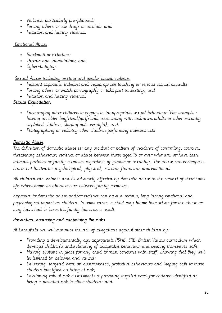- Violence, particularly pre-planned;
- Forcing others to use drugs or alcohol; and
- Initiation and hazing violence.

#### Emotional Abuse

- Blackmail or extortion;
- Threats and intimidation; and
- Cyber-bullying.

#### Sexual Abuse including sexting and gender based violence

- Indecent exposure, indecent and inappropriate touching or serious sexual assaults;
- Forcing others to watch pornography or take part in sexting; and
- Initiation and hazing violence.

# Sexual Exploitation

- Encouraging other children to engage in inappropriate sexual behaviour (For example having an older boyfriend/girlfriend, associating with unknown adults or other sexually exploited children, staying out overnight); and
- Photographing or videoing other children performing indecent acts.

# Domestic Abuse

The definition of domestic abuse is: any incident or pattern of incidents of controlling, coercive, threatening behaviour, violence or abuse between those aged 16 or over who are, or have been, intimate partners or family members regardless of gender or sexuality. The abuse can encompass, but is not limited to: psychological; physical; sexual; financial; and emotional.

All children can witness and be adversely affected by domestic abuse in the context of their home life where domestic abuse occurs between family members.

Exposure to domestic abuse and/or violence can have a serious, long lasting emotional and psychological impact on children. In some cases, a child may blame themselves for the abuse or may have had to leave the family home as a result.

# Prevention, assessing and minimising the risks

At Lanesfield we will minimise the risk of allegations against other children by:

- Providing a developmentally age appropriate PSHE, SRE, British Values curriculum which develops children's understanding of acceptable behaviour and keeping themselves safe;
- Having systems in place for any child to raise concerns with staff, knowing that they will be listened to, believed and valued;
- Delivering targeted work on assertiveness, protective behaviours and keeping safe to those children identified as being at risk;
- Developing robust risk assessments & providing targeted work for children identified as being a potential risk to other children; and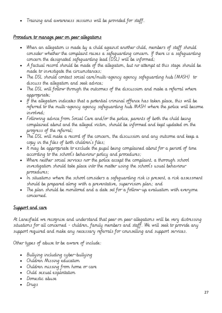• Training and awareness sessions will be provided for staff.

#### Procedure to manage peer on peer allegations

- When an allegation is made by a child against another child, members of staff should consider whether the complaint raises a safeguarding concern. If there is a safeguarding concern the designated safeguarding lead (DSL) will be informed;
- A factual record should be made of the allegation, but no attempt at this stage should be made to investigate the circumstances;
- The DSL should contact social care/multi-agency agency safeguarding hub (MASH) to discuss the allegation and seek advice;
- The DSL will follow through the outcomes of the discussion and make a referral where appropriate;
- If the allegation indicates that a potential criminal offence has taken place, this will be referred to the multi-agency agency safeguarding hub MASH where the police will become involved;
- Following advice from Social Care and/or the police, parents of both the child being complained about and the alleged victim, should be informed and kept updated on the progress of the referral;
- The DSL will make a record of the concern, the discussion and any outcome and keep a copy in the files of both children's files;
- It may be appropriate to exclude the pupil being complained about for a period of time according to the school's behaviour policy and procedures;
- Where neither social services nor the police accept the complaint, a thorough school investigation should take place into the matter using the school's usual behaviour procedures;
- In situations where the school considers a safeguarding risk is present, a risk assessment should be prepared along with a preventative, supervision plan; and
- The plan should be monitored and a date set for a follow-up evaluation with everyone concerned.

# Support and care

At Lanesfield we recognise and understand that peer on peer allegations will be very distressing situations for all concerned - children, family members and staff. We will seek to provide any support required and make any necessary referrals for counselling and support services.

Other types of abuse to be aware of include:

- Bullying including cyber-bullying
- Children Missing education
- Children missing from home or care
- Child sexual exploitation
- Domestic abuse
- Drugs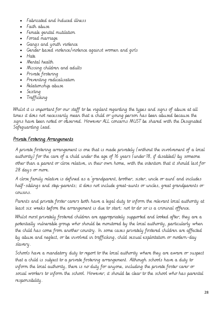- Fabricated and Induced illness
- Faith abuse
- Female genital mutilation
- Forced marriage
- Gangs and youth violence
- Gender based violence/violence against women and girls
- Hate
- Mental health
- Missing children and adults
- Private fostering
- Preventing radicalisation
- Relationship abuse
- Sexting
- Trafficking

Whilst it is important for our staff to be vigilant regarding the types and signs of abuse at all times it does not necessarily mean that a child or young person has been abused because the signs have been noted or observed. However ALL concerns MUST be shared with the Designated Safeguarding Lead.

#### Private Fostering Arrangements

A private fostering arrangement is one that is made privately (without the involvement of a local authority) for the care of a child under the age of 16 years (under 18, if disabled) by someone other than a parent or close relative, in their own home, with the intention that it should last for 28 days or more.

A close family relative is defined as a 'grandparent, brother, sister, uncle or aunt' and includes half-siblings and step-parents; it does not include great-aunts or uncles, great grandparents or cousins.

Parents and private foster carers both have a legal duty to inform the relevant local authority at least six weeks before the arrangement is due to start; not to do so is a criminal offence.

Whilst most privately fostered children are appropriately supported and looked after, they are a potentially vulnerable group who should be monitored by the local authority, particularly when the child has come from another country. In some cases privately fostered children are affected by abuse and neglect, or be involved in trafficking, child sexual exploitation or modern-day slavery.

Schools have a mandatory duty to report to the local authority where they are aware or suspect that a child is subject to a private fostering arrangement. Although schools have a duty to inform the local authority, there is no duty for anyone, including the private foster carer or social workers to inform the school. However, it should be clear to the school who has parental responsibility.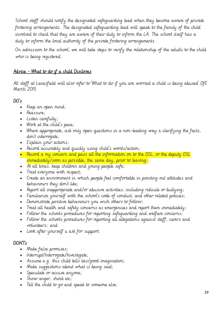School staff should notify the designated safeguarding lead when they become aware of private fostering arrangements. The designated safeguarding lead will speak to the family of the child involved to check that they are aware of their duty to inform the LA. The school itself has a duty to inform the local authority of the private fostering arrangements.

On admission to the school, we will take steps to verify the relationship of the adults to the child who is being registered.

#### Advice - What to do if a child Discloses

All staff at Lanesfield will also refer to 'What to do if you are worried a child is being abused' DfE March 2015

# $DO's$

- Keep an open mind;
- Reassure;
- Listen carefully;
- Work at the child's pace;
- Where appropriate, ask only open questions in a non-leading way s clarifying the facts, don't interrogate;
- Explain your actions;
- Record accurately and quickly using child's words/action;
- Record a my concern and pass all the information on to the DSL, or the deputy DSL immediately/soon as possible, the same day, prior to leaving;
- At all times, keep children and young people safe;
- Treat everyone with respect;
- Create an environment in which people feel comfortable in pointing out attitudes and behaviours they don't like;
- Report all inappropriate and/or abusive activities, including ridicule or bullying;
- Familiarize yourself with the school's code of conduct, and other related policies;
- Demonstrate positive behaviours you wish others to follow;
- Treat all health and safety concerns as emergencies and report them immediately;
- Follow the schools procedures for reporting safeguarding and welfare concerns;
- Follow the schools procedures for reporting all allegations against staff, carers and volunteers; and
- Look after yourself s ask for support.

#### DON'Ts

- Make false promises;
- Interrupt/Interrogate/Investigate;
- Assume e.g. this child tells lies/good imagination;
- Make suggestions about what is being said;
- Speculate or accuse anyone;
- Show anger, shock etc;
- Tell the child to go and speak to someone else;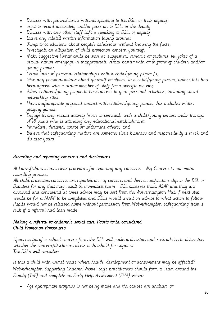- Discuss with parent/carers without speaking to the DSL, or their deputy;
- orget to record accurately and/or pass on to DSL, or the deputy
- Discuss with any other staff before speaking to DSL, or deputy;
- Leave any related written information laying around;
- Jump to conclusions about people's behaviour without knowing the facts;
- Investigate an allegation of child protection concern yourself;
- Make suggestive (what could be seen as suggestive) remarks or gestures, tell jokes of a sexual nature or engage in inappropriate verbal banter with or in front of children and/or young people;
- Create 'intense' personal relationships with a child/young person/s;
- Give any personal details about yourself or others, to a child/young person, unless this has been agreed with a senior member of staff for a specific reason;
- Allow children/young people to have access to your personal activities, including social networking sites;
- Have inappropriate physical contact with children/young people, this includes whilst playing games;
- Engage in any sexual activity (even consensual) with a child/young person under the age of 18 years who is attending any educational establishment;
- Intimidate, threaten, coerce or undermine others; and
- Believe that safeguarding matters are someone else's business and responsibility s it isk and it's also yours.

#### Recording and reporting concerns and disclosures

At Lanesfield we have clear procedure for reporting any concerns. My Concern is our main recording process.

All child protection concerns are reported on my concern and then a notification slip to the DSL or Deputies for any that may result in immediate harm. DSL accesses these ASAP and they are assessed and considered at times advice may be sort from the Wolverhampton Hub if next step would be for a MARF to be completed and DSL's would await on advice to what action to follow. Pupils would not be released home without permission from Wolverhampton safeguarding team s Hub if a referral had been made.

#### Making a referral to children's social care-Points to be considered Child Protection Procedures

Upon receipt of a school concern form the DSL will make a decision and seek advice to determine whether the concern/disclosure meets a threshold for support The DSLs will consider:

Is this a child with unmet needs where health, development or achievement may be affected? Wolverhampton Supporting Children' Model says practitioners should form a Team around the Family (TaF) and complete an Early Help Assessment (EHA) when:

• Age appropriate progress is not being made and the causes are unclear; or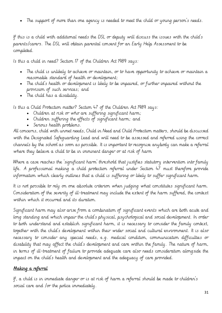• The support of more than one agency is needed to meet the child or young person's needs.

If this is a child with additional needs the DSL or deputy will discuss the issues with the child's parents/carers. The DSL will obtain parental consent for an Early Help Assessment to be completed.

Is this a child in need? Section 17 of the Children Act 1989 says:

- The child is unlikely to achieve or maintain, or to have opportunity to achieve or maintain a reasonable standard of health or development;
- The child's health or development is likely to be impaired, or further impaired without the provision of such services; and
- The child has a disability.

Is this a Child Protection matter? Section 47 of the Children Act 1989 says:

- Children at risk or who are suffering significant harm;
- Children suffering the effects of significant harm; and
- Serious health problems.

All concerns, child with unmet needs, Child in Need and Child Protection matters, should be discussed with the Designated Safeguarding Lead and will need to be assessed and referred using the correct channels by the school as soon as possible. It is important to recognise anybody can make a referral where they believe a child to be in imminent danger or at risk of harm

Where a case reaches the 'significant harm' threshold that justifies statutory intervention into family life. A professional making a child protection referral under Section 47 must therefore provide information which clearly outlines that a child is suffering or likely to suffer significant harm.

It is not possible to rely on one absolute criterion when judging what constitutes significant harm. Consideration of the severity of ill-treatment may include the extent of the harm suffered, the context within which it occurred and its duration.

Significant harm may also arise from a combination of significant events which are both acute and long standing and which impair the child's physical, psychological and social development. In order to both understand and establish significant harm, it is necessary to consider the family context, together with the child's development within their wider social and cultural environment. It is also necessary to consider any special needs, e.g. medical condition, communication difficulties or disability that may affect the child's development and care within the family. The nature of harm, in terms of ill-treatment of failure to provide adequate care also needs consideration alongside the impact on the child's health and development and the adequacy of care provided.

# Making a referral

If, a child is in immediate danger or is at risk of harm a referral should be made to children's social care and /or the police immediately.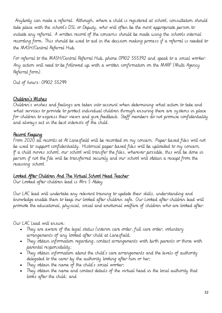Anybody can make a referral. Although, where a child is registered at school, consultation should take place with the school's DSL or Deputy, who will often be the most appropriate person to initiate any referral. A written record of the concerns should be made using the schools internal recording form. This should be used to aid in the decision making process if a referral is needed to the MASH/Central Referral Hub.

For referral to the MASH/Central Referral Hub, phone 01902 555392 and speak to a social worker. Any action will need to be followed up with a written confirmation on the MARF (Multi Agency Referral form).

Out of hours: 01902 55299

#### Children's Wishes

Children's wishes and feelings are taken into account when determining what action to take and what services to provide to protect individual children through ensuring there are systems in place for children to express their views and give feedback. Staff members do not promise confidentiality and always act in the best interests of the child.

#### Record Keeping

From 2020 all records at At Lanesfield will be recorded on my concern. Paper based files will not be used to support confidentiality. Historical paper based files will be uploaded to my concern. If a child moves school, our school will transfer the files, wherever possible, this will be done in person if not the file will be transferred securely and our school will obtain a receipt from the receiving school.

#### Looked After Children And The Virtual School Head Teacher

Our Looked after children lead is Mrs S Abley

Our LAC lead will undertake any relevant training to update their skills, understanding and knowledge enable them to keep our looked after children safe. Our Looked after children lead will promote the educational, physical, social and emotional welfare of children who are looked after.

Our LAC Lead will ensure:

- They are aware of the legal status (interim care order, full care order, voluntary arrangements of any looked after child at Lanesfield;
- They obtain information regarding, contact arrangements with birth parents or those with parental responsibility;
- They obtain information about the child's care arrangements and the levels of authority delegated to the carer by the authority looking after him or her;
- They obtain the name of the child's social worker;
- They obtain the name and contact details of the virtual head in the local authority that looks after the child; and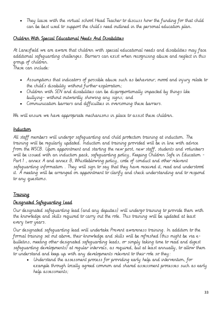• They liaise with the virtual school Head Teacher to discuss how the funding for that child can be best used to support the child's need outlined in the personal education plan.

#### Children With Special Educational Needs And Disabilities

At Lanesfield we are aware that children with special educational needs and disabilities may face additional safeguarding challenges. Barriers can exist when recognising abuse and neglect in this group of children.

These can include:

- Assumptions that indicators of possible abuse such as behaviour, mood and injury relate to the child's disability without further exploration;
- Children with SEN and disabilities can be disproportionally impacted by things like bullying- without outwardly showing any signs; and
- Communication barriers and difficulties in overcoming these barriers.

We will ensure we have appropriate mechanisms in place to assist these children.

#### Induction

All staff members will undergo safeguarding and child protection training at induction. The training will be regularly updated. Induction and training provided will be in line with advice from the WSCB. Upon appointment and starting the new post, new staff, students and volunteers will be issued with an induction pack, safeguarding policy, Keeping Children Safe in Education - Part 1, annex A and annex B, Whistleblowing policy, code of conduct and other relevant safeguarding information . They will sign to say that they have received it, read and understood it. A meeting will be arranged on appointment to clarify and check understanding and to respond to any questions.

# Training

# Designated Safeguarding Lead

Our designated safeguarding lead (and any deputies) will undergo training to provide them with the knowledge and skills required to carry out the role. This training will be updated at least every two years.

Our designated safeguarding lead will undertake Prevent awareness training. In addition to the formal training set out above, their knowledge and skills will be refreshed (this might be via ebulletins, meeting other designated safeguarding leads, or simply taking time to read and digest safeguarding developments) at regular intervals, as required, but at least annually, to allow them to understand and keep up with any developments relevant to their role so they:

• Understand the assessment process for providing early help and intervention, for example through locally agreed common and shared assessment processes such as early help assessments;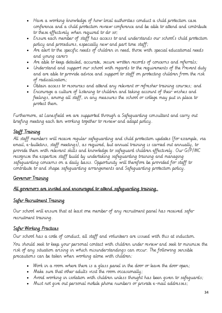- Have a working knowledge of how local authorities conduct a child protection case conference and a child protection review conference and be able to attend and contribute to these effectively when required to do so;
- Ensure each member of staff has access to and understands our school's child protection policy and procedures, especially new and part time staff;
- Are alert to the specific needs of children in need, those with special educational needs and young carers
- Are able to keep detailed, accurate, secure written records of concerns and referrals;
- Understand and support our school with regards to the requirements of the Prevent duty and are able to provide advice and support to staff on protecting children from the risk of radicalisation;
- Obtain access to resources and attend any relevant or refresher training courses; and
- Encourage a culture of listening to children and taking account of their wishes and feelings, among all staff, in any measures the school or college may put in place to protect them.

Furthermore, at Lanesfield we are supported through a Safeguarding consultant and carry out briefing meeting each tem working together to review and adapt policy.

# Staff Training

All staff members will receive regular safeguarding and child protection updates (for example, via email, e-bulletins, staff meetings), as required, but annual training is carried out annually, to provide them with relevant skills and knowledge to safeguard children effectively. Our G/P/MC recognise the expertise staff build by undertaking safeguarding training and managing safeguarding concerns on a daily basis. Opportunity will therefore be provided for staff to contribute to and shape safeguarding arrangements and Safeguarding protection policy.

# Governor Training

#### All governors are invited and encouraged to attend safeguarding training.

# Safer Recruitment Training

Our school will ensure that at least one member of any recruitment panel has received safer recruitment training.

# Safer Working Practices

Our school has a code of conduct, all staff and volunteers are issued with this at induction.

You should seek to keep your personal contact with children under review and seek to minimise the risk of any situation arising in which misunderstandings can occur. The following sensible precautions can be taken when working alone with children:

- Work in a room where there is a glass panel in the door or leave the door open;
- Make sure that other adults visit the room occasionally;
- Avoid working in isolation with children unless thought has been given to safeguards;
- Must not give out personal mobile phone numbers or private e-mail addresses;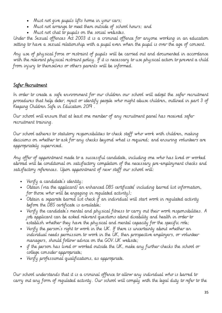- Must not give pupils lifts home in your cars;
- Must not arrange to meet them outside of school hours; and
- Must not chat to pupils on the social websites.

Under the Sexual offences Act 2003 it is a criminal offence for anyone working in an education setting to have a sexual relationship with a pupil even when the pupil is over the age of consent.

Any use of physical force or restraint of pupils will be carried out and documented in accordance with the relevant physical restraint policy. If it is necessary to use physical action to prevent a child from injury to themselves or others parents will be informed.

# Safer Recruitment

In order to create a safe environment for our children our school will adopt the safer recruitment procedures that help deter, reject or identify people who might abuse children, outlined in part 3 of Keeping Children Safe in Education 2019 .

Our school will ensure that at least one member of any recruitment panel has received safer recruitment training.

Our school adheres to statutory responsibilities to check staff who work with children, making decisions on whether to ask for any checks beyond what is required; and ensuring volunteers are appropriately supervised.

Any offer of appointment made to a successful candidate, including one who has lived or worked abroad will be conditional on satisfactory completion of the necessary pre-employment checks and satisfactory references. Upon appointment of new staff our school will:

- Verify a candidate's identity;
- Obtain (via the applicant) an enhanced DBS certificate( including barred list information, for those who will be engaging in regulated activity);
- Obtain a separate barred list check if an individual will start work in regulated activity before the DBS certificate is available;
- Verify the candidate's mental and physical fitness to carry out their work responsibilities. A job applicant can be asked relevant questions about disability and health in order to establish whether they have the physical and mental capacity for the specific role;
- Verify the person's right to work in the UK. If there is uncertainty about whether an individual needs permission to work in the UK, then prospective employers, or volunteer managers, should follow advice on the GOV.UK website;
- if the person has lived or worked outside the UK, make any further checks the school or college consider appropriate;
- Verify professional qualifications, as appropriate.

Our school understands that it is a criminal offence to allow any individual who is barred to carry out any form of regulated activity. Our school will comply with the legal duty to refer to the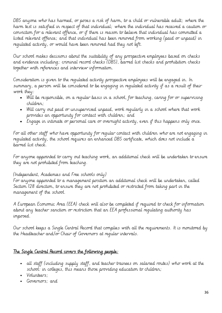DBS anyone who has harmed, or poses a risk of harm, to a child or vulnerable adult; where the harm test is satisfied in respect of that individual; where the individual has received a caution or conviction for a relevant offence, or if there is reason to believe that individual has committed a listed relevant offence; and that individual has been removed from working (paid or unpaid) in regulated activity, or would have been removed had they not left.

Our school makes decisions about the suitability of any prospective employees based on checks and evidence including; criminal record checks (DBS), barred list checks and prohibition checks together with references and interview information.

Consideration is given to the regulated activity prospective employees will be engaged in. In summary, a person will be considered to be engaging in regulated activity if as a result of their work they:

- Will be responsible, on a regular basis in a school, for teaching, caring for or supervising children;
- Will carry out paid or unsupervised unpaid, work regularly in a school where that work provides an opportunity for contact with children; and
- Engage in intimate or personal care or overnight activity, even if this happens only once.

For all other staff who have opportunity for regular contact with children who are not engaging in regulated activity, the school requires an enhanced DBS certificate, which does not include a barred list check.

For anyone appointed to carry out teaching work, an additional check will be undertaken to ensure they are not prohibited from teaching.

#### (Independent, Academies and Free schools only)

For anyone appointed to a management position an additional check will be undertaken, called Section 128 direction, to ensure they are not prohibited or restricted from taking part in the management of the school.

A European Economic Area (EEA) check will also be completed if required to check for information about any teacher sanction or restriction that an EEA professional regulating authority has imposed.

Our school keeps a Single Central Record that complies with all the requirements. It is monitored by the Headteacher and/or Chair of Governors at regular intervals.

#### The Single Central Record covers the following people:

- all staff (including supply staff, and teacher trainees on salaried routes) who work at the school: in colleges, this means those providing education to children;
- Volunteers;
- Governors; and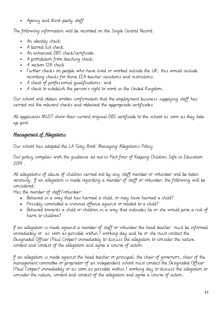• Agency and third-party staff

The following information will be recorded on the Single Central Record:

- An identity check;
- A barred list check;
- An enhanced DBS check/certificate;
- A prohibition from teaching check;
- A section 128 check
- Further checks on people who have lived or worked outside the UK; this would include recording checks for those EEA teacher sanctions and restrictions;
- A check of professional qualifications; and
- A check to establish the person's right to work in the United Kingdom.

Our school will obtain written confirmation that the employment business supplying staff has carried out the relevant checks and obtained the appropriate certificates.

All applicants MUST show their current original DBS certificate to the school as soon as they take up post.

# Management of Allegations

Our school has adopted the LA 'Grey Book' Managing Allegations Policy.

Our policy complies with the guidance set out in Part four of Keeping Children Safe in Education 2019 .

All allegations of abuse of children carried out by any staff member or volunteer will be taken seriously. If an allegation is made regarding a member of staff or volunteer, the following will be considered:

Has the member of staff/volunteer:

- Behaved in a way that has harmed a child, or may have harmed a child?
- Possibly committed a criminal offence against or related to a child?
- Behaved towards a child or children in a way that indicates he or she would pose a risk of harm to children?

If an allegation is made against a member of staff or volunteer the head teacher must be informed immediately or as soon as possible within 1 working day and he or she must contact the Designated Officer (Paul Cooper) immediately to discuss the allegation to consider the nature, content and context of the allegation and agree a course of action.

If an allegation is made against the head teacher or principal, the chair of governors, chair of the management committee or proprietor of an independent school must contact the Designated Officer (Paul Cooper) immediately or as soon as possible within 1 working day to discuss the allegation to consider the nature, content and context of the allegation and agree a course of action.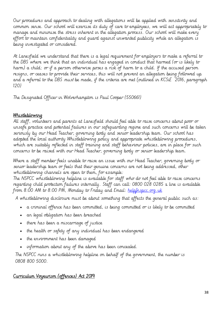Our procedures and approach to dealing with allegations will be applied with sensitivity and common sense. Our school will exercise its duty of care to employees, we will act appropriately to manage and minimise the stress inherent in the allegation process. Our school will make every effort to maintain confidentiality and guard against unwanted publicity while an allegation is being investigated or considered.

At Lanesfield we understand that there is a legal requirement for employers to make a referral to the DBS where we think that an individual has engaged in conduct that harmed (or is likely to harm) a child; or if a person otherwise poses a risk of harm to a child. If the accused person resigns, or ceases to provide their services, this will not prevent an allegation being followed up and a referral to the DBS must be made, if the criteria are met (outlined in KCSiE 2016, paragraph 120)

The Designated Officer in Wolverhampton is Paul Cooper (550661)

#### Whistleblowing

All staff, volunteers and parents at Lanesfield should feel able to raise concerns about poor or unsafe practice and potential failures in our safeguarding regime and such concerns will be taken seriously by our Head Teacher, governing body and senior leadership team. Our school has adopted the local authority Whistleblowing policy and appropriate whistleblowing procedures, which are suitably reflected in staff training and staff behaviour policies, are in place for such concerns to be raised with our Head Teacher, governing body or senior leadership team.

Where a staff member feels unable to raise an issue with our Head Teacher, governing body or senior leadership team or feels that their genuine concerns are not being addressed, other whistleblowing channels are open to them, for example:

The NSPCC whistleblowing helpline is available for staff who do not feel able to raise concerns regarding child protection failures internally. Staff can call: 0800 028 0285 s line is available from 8:00 AM to 8:00 PM, Monday to Friday and Email: <u>helpfnspcc.org.uk</u>

A whistleblowing disclosure must be about something that affects the general public such as:

- a criminal offence has been committed, is being committed or is likely to be committed
- an legal obligation has been breached
- there has been a miscarriage of justice
- the health or safety of any individual has been endangered
- the environment has been damaged
- information about any of the above has been concealed.

The NSPCC runs a whistleblowing helpline on behalf of the government, the number is 0808 800 5000.

#### Curriculum Voyeurism (offences) Act 2019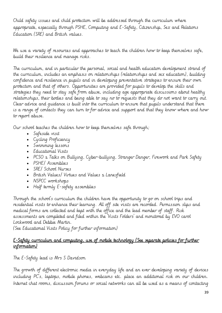Child safety issues and child protection will be addressed through the curriculum where appropriate, especially through PSHE, Computing and E-Safety, Citizenship, Sex and Relations Education (SRE) and British values.

We use a variety of resources and approaches to teach the children how to keep themselves safe, build their resilience and manage risks.

The curriculum, and in particular the personal, social and health education development strand of the curriculum, includes an emphasis on relationships (relationships and sex education), building confidence and resilience in pupils and in developing preventative strategies to ensure their own protection and that of others. Opportunities are provided for pupils to develop the skills and strategies they need to stay safe from abuse, including age appropriate discussions about healthy relationships, their bodies and being able to say no to requests that they do not want to carry out. Clear advice and guidance is built into the curriculum to ensure that pupils understand that there is a range of contacts they can turn to for advice and support and that they know where and how to report abuse.

Our school teaches the children how to keep themselves safe through;

- Safeside visit
- Cycling Proficiency
- Swimming lessons
- Educational Visits
- PCSO s Talks on Bullying, Cyber-bullying, Stranger Danger, Firework and Park Safety
- PSHE/ Assemblies
- SRE/ School Nurses
- British Values/ Virtues and Values s Lanesfield
- NSPCC workshops
- Half termly E-safety assemblies

Through the school's curriculum the children have the opportunity to go on school trips and residential visits to enhance their learning. All off site visits are recorded. Permission slips and medical forms are collected and kept with the office and the lead member of staff. Risk assessments are completed and filed within the 'Visits Folders' and monitored by EVO carol Lockwood and Debbie Martin.

(See Educational Visits Policy for further information)

#### E-Safety curriculum and computing, use of mobile technology (See separate policies for further information)

The E-Safety lead is Mrs S Davidson

The growth of different electronic media in everyday life and an ever developing variety of devices including PC's, laptops, mobile phones, webcams etc. place an additional risk on our children. Internet chat rooms, discussion forums or social networks can all be used as a means of contacting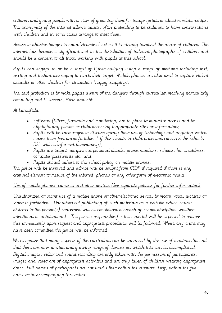children and young people with a view of grooming them for inappropriate or abusive relationships. The anonymity of the internet allows adults, often pretending to be children, to have conversations with children and in some cases arrange to meet them.

Access to abusive images is not a 'victimless' act as it is already involved the abuse of children. The internet has become a significant tool in the distribution of indecent photographs of children and should be a concern to all those working with pupils at this school.

Pupils can engage in or be a target of Cyber-bullying using a range of methods including text, sexting and instant messaging to reach their target. Mobile phones are also used to capture violent assaults or other children for circulation (happy slapping).

The best protection is to make pupils aware of the dangers through curriculum teaching particularly computing and IT lessons, PSHE and SRE.

At Lanesfield

- Software (filters, firewalls and monitoring) are in place to minimise access and to highlight any person or child accessing inappropriate sites or information;
- Pupils will be encouraged to discuss openly their use of technology and anything which makes them feel uncomfortable. ( if this results in child protection concerns the schools DSL will be informed immediately);
- Pupils are taught not give out personal details, phone numbers, schools, home address, computer passwords etc; and
- Pupils should adhere to the school policy on mobile phones.

The police will be involved and advice will be sought from CEOP if required if there is any criminal element to misuse of the internet, phones or any other form of electronic media.

#### Use of mobile phones, cameras and other devices (See separate policies for further information)

Unauthorized or secret use of a mobile phone or other electronic device, to record voice, pictures or video is forbidden. Unauthorized publishing of such materials on a website which causes distress to the person(s) concerned will be considered a breach of school discipline, whether intentional or unintentional. The person responsible for the material will be expected to remove this immediately upon request and appropriate procedures will be followed. Where any crime may have been committed the police will be informed.

We recognize that many aspects of the curriculum can be enhanced by the use of multi-media and that there are now a wide and growing range of devices on which this can be accomplished. Digital images, video and sound recording are only taken with the permission of participants; images and video are of appropriate activities and are only taken of children wearing appropriate dress. Full names of participants are not used either within the resource itself, within the filename or in accompanying text online.